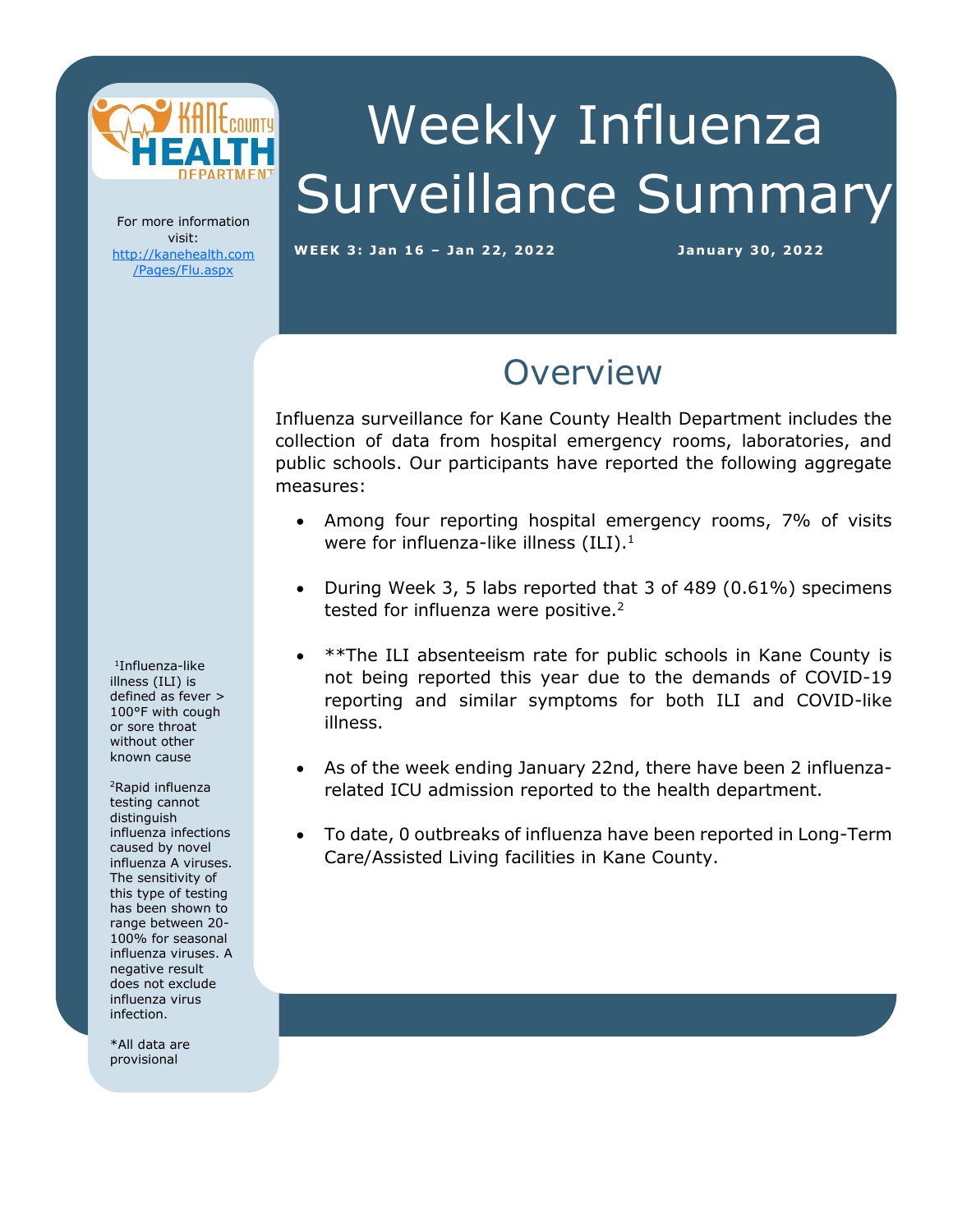

Weekly Influenza Surveillance Summary

For more information visit: [http://kanehealth.com](http://kanehealth.com/Pages/Flu.aspx) [/Pages/Flu.aspx](http://kanehealth.com/Pages/Flu.aspx)

WEEK 3: Jan 16 - Jan 22, 2022 **January 30, 2022** 

data that make this monitoring possible.

## **Overview**

Influenza surveillance for Kane County Health Department includes the collection of data from hospital emergency rooms, laboratories, and public schools. Our participants have reported the following aggregate measures:

- Among four reporting hospital emergency rooms, 7% of visits were for influenza-like illness  $(ILI).<sup>1</sup>$
- During Week 3, 5 labs reported that 3 of 489 (0.61%) specimens tested for influenza were positive.<sup>2</sup>
- \*\*The ILI absenteeism rate for public schools in Kane County is not being reported this year due to the demands of COVID-19 reporting and similar symptoms for both ILI and COVID-like illness.
- As of the week ending January 22nd, there have been 2 influenzarelated ICU admission reported to the health department.
- To date, 0 outbreaks of influenza have been reported in Long-Term Care/Assisted Living facilities in Kane County.

1 Influenza-like illness (ILI) is defined as fever > 100°F with cough or sore throat without other known cause

<sup>2</sup>Rapid influenza testing cannot distinguish influenza infections caused by novel influenza A viruses. The sensitivity of this type of testing has been shown to range between 20- 100% for seasonal influenza viruses. A negative result does not exclude influenza virus infection.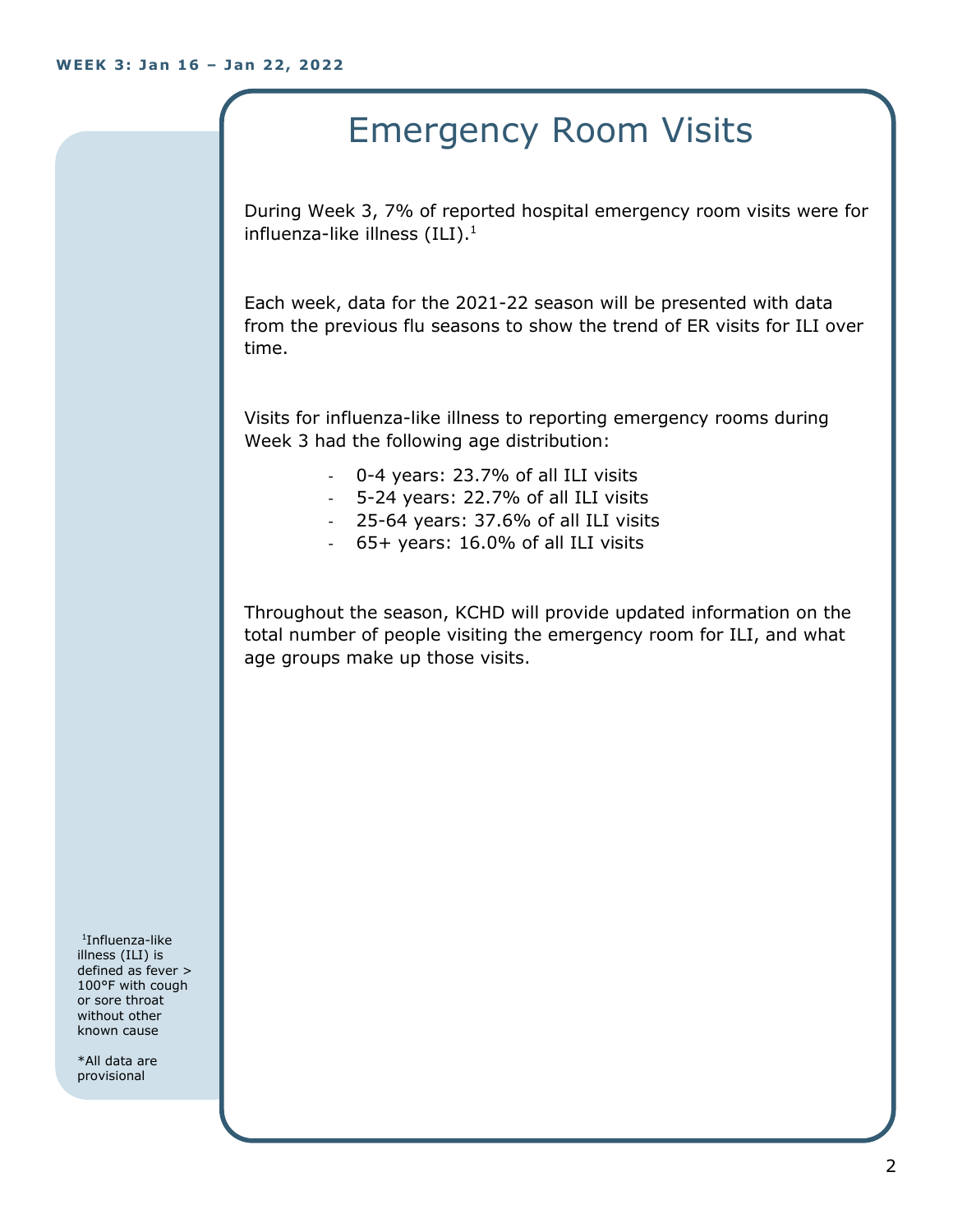## Emergency Room Visits

During Week 3, 7% of reported hospital emergency room visits were for influenza-like illness  $(III).<sup>1</sup>$ 

Each week, data for the 2021-22 season will be presented with data from the previous flu seasons to show the trend of ER visits for ILI over time.

Visits for influenza-like illness to reporting emergency rooms during Week 3 had the following age distribution:

- 0-4 years: 23.7% of all ILI visits
- 5-24 years: 22.7% of all ILI visits
- 25-64 years: 37.6% of all ILI visits
- 65+ years: 16.0% of all ILI visits

Throughout the season, KCHD will provide updated information on the total number of people visiting the emergency room for ILI, and what age groups make up those visits.

1 Influenza-like illness (ILI) is defined as fever > 100°F with cough or sore throat without other known cause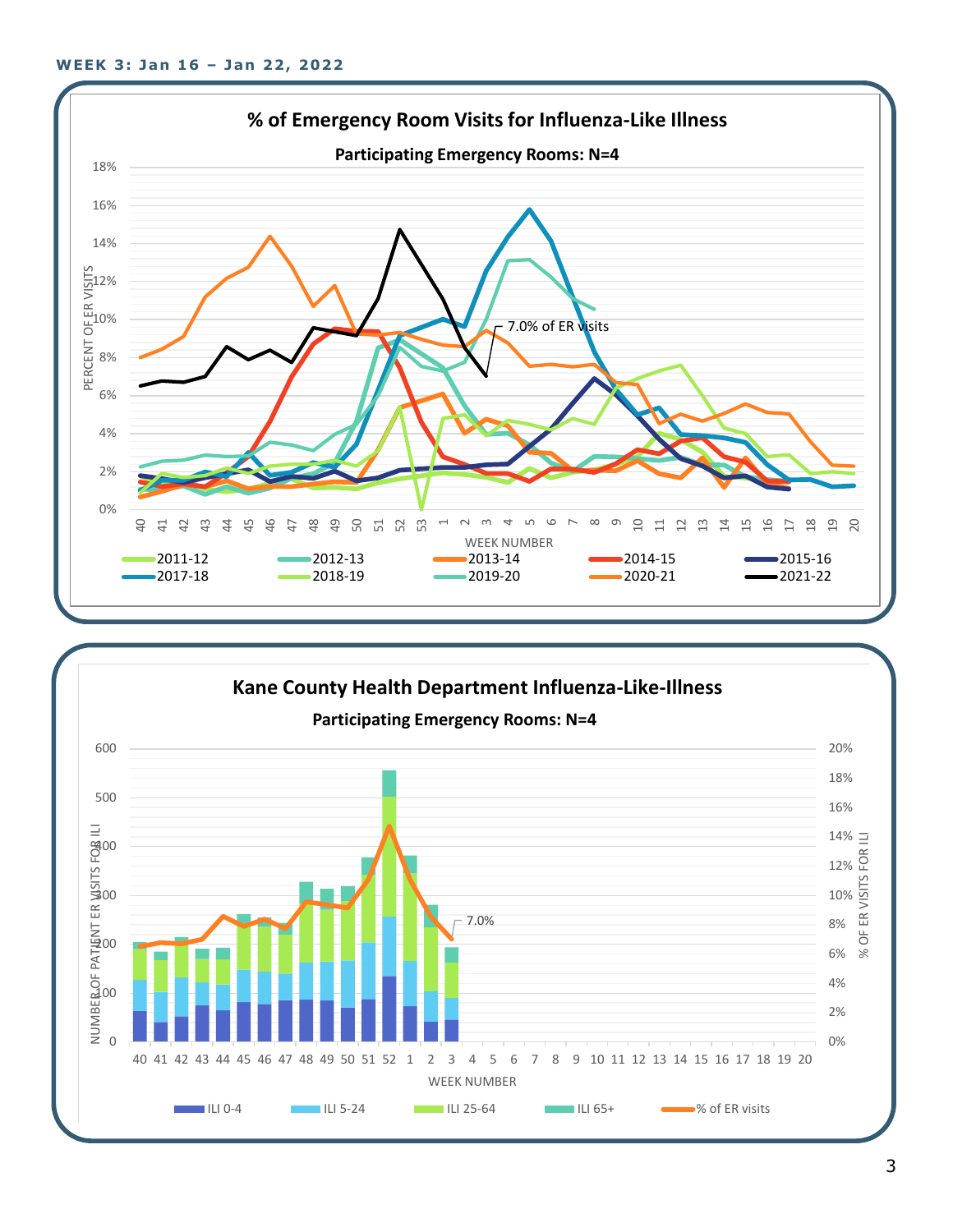

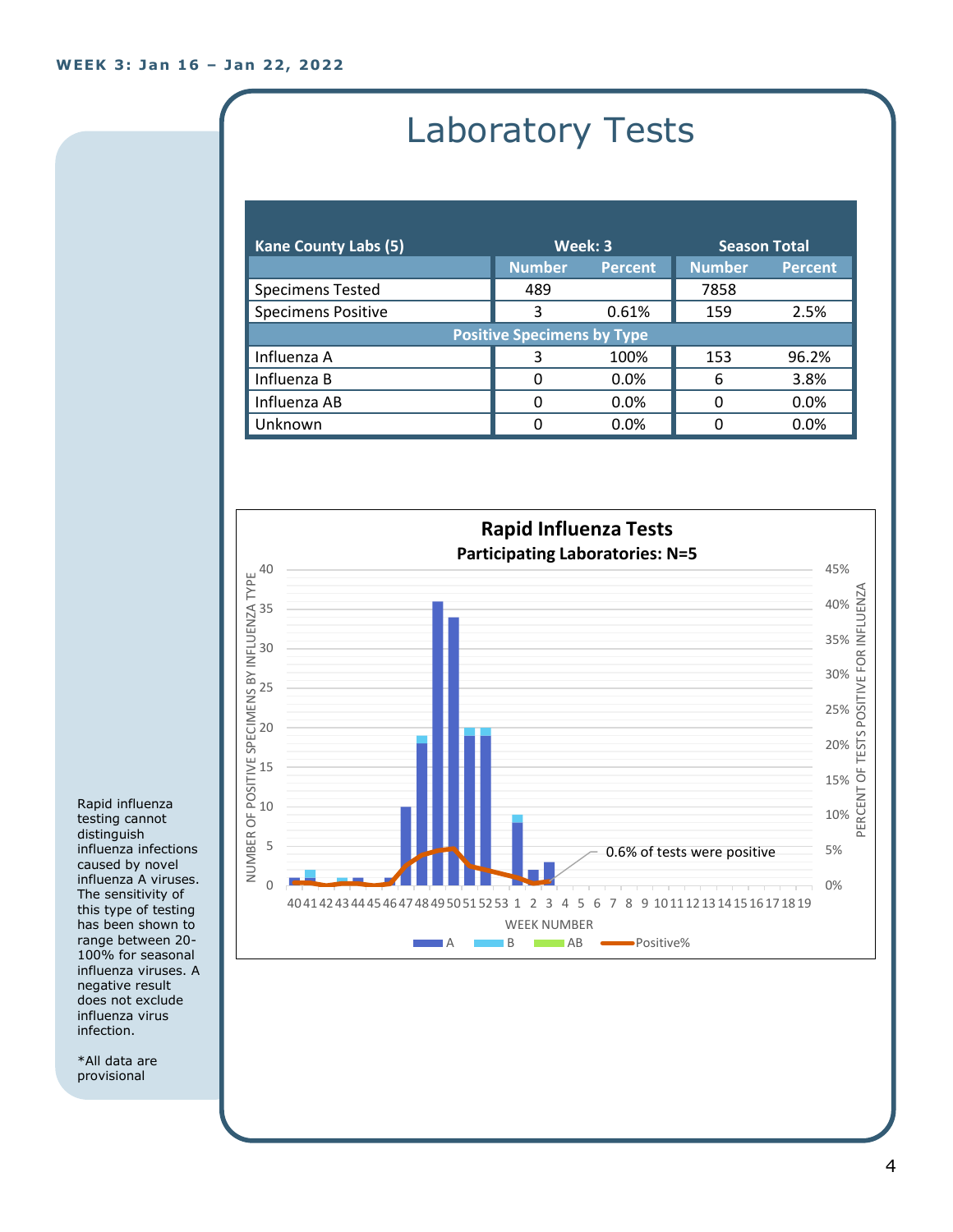# Laboratory Tests

| <b>Kane County Labs (5)</b>       | Week: 3       |                | <b>Season Total</b> |                |  |
|-----------------------------------|---------------|----------------|---------------------|----------------|--|
|                                   | <b>Number</b> | <b>Percent</b> | <b>Number</b>       | <b>Percent</b> |  |
| <b>Specimens Tested</b>           | 489           |                | 7858                |                |  |
| <b>Specimens Positive</b>         | 3             | 0.61%          | 159                 | 2.5%           |  |
| <b>Positive Specimens by Type</b> |               |                |                     |                |  |
| Influenza A                       | З             | 100%           | 153                 | 96.2%          |  |
| Influenza B                       | 0             | 0.0%           | 6                   | 3.8%           |  |
| Influenza AB                      | 0             | 0.0%           | O                   | 0.0%           |  |
| Unknown                           | ŋ             | 0.0%           |                     | 0.0%           |  |



Rapid influenza testing cannot distinguish influenza infections caused by novel influenza A viruses. The sensitivity of this type of testing has been shown to range between 20- 100% for seasonal influenza viruses. A negative result does not exclude influenza virus infection.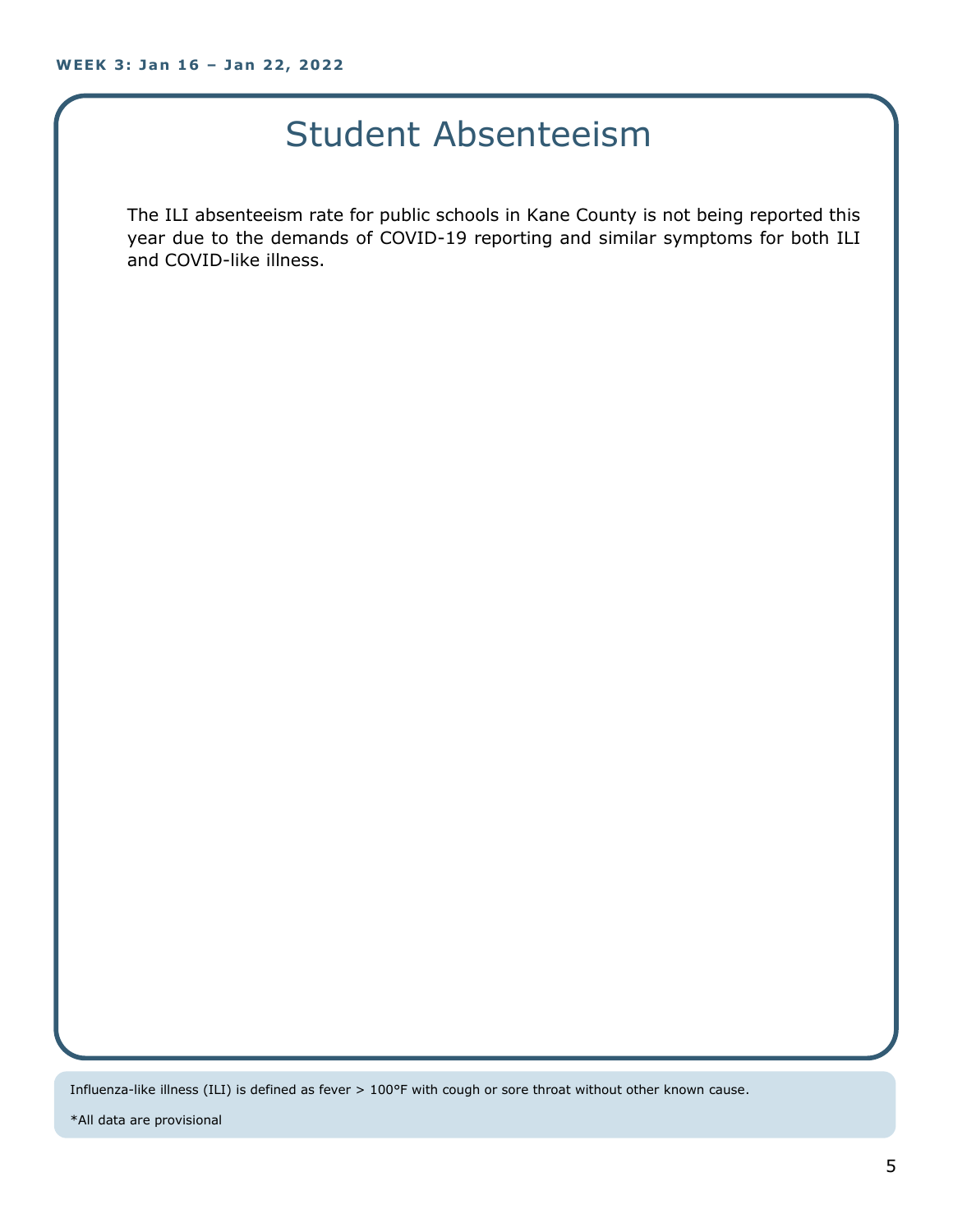## Student Absenteeism

The ILI absenteeism rate for public schools in Kane County is not being reported this year due to the demands of COVID-19 reporting and similar symptoms for both ILI and COVID-like illness.

Influenza-like illness (ILI) is defined as fever > 100°F with cough or sore throat without other known cause.